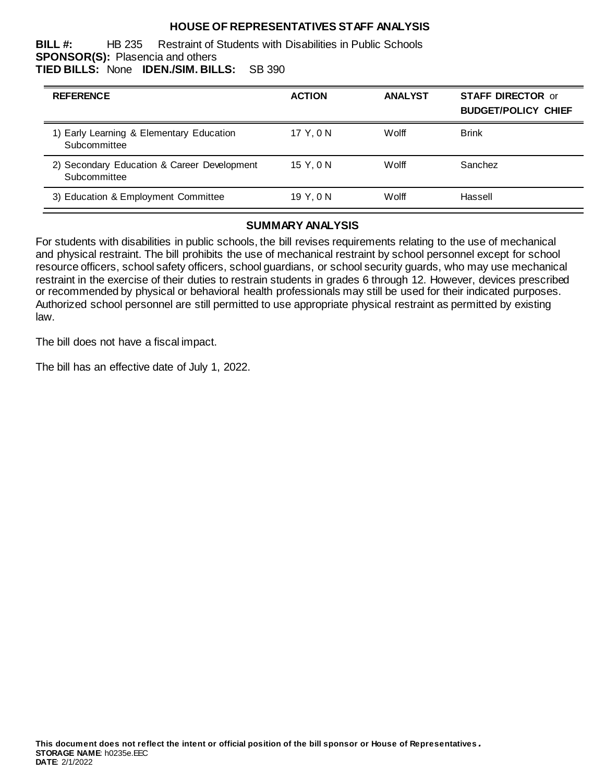# **HOUSE OF REPRESENTATIVES STAFF ANALYSIS**

**BILL #:** HB 235 Restraint of Students with Disabilities in Public Schools **SPONSOR(S):** Plasencia and others **TIED BILLS:** None **IDEN./SIM. BILLS:** SB 390

| <b>REFERENCE</b>                                            | <b>ACTION</b> | <b>ANALYST</b> | <b>STAFF DIRECTOR or</b><br><b>BUDGET/POLICY CHIEF</b> |
|-------------------------------------------------------------|---------------|----------------|--------------------------------------------------------|
| 1) Early Learning & Elementary Education<br>Subcommittee    | 17 Y.ON       | Wolff          | <b>Brink</b>                                           |
| 2) Secondary Education & Career Development<br>Subcommittee | 15 Y.ON       | Wolff          | Sanchez                                                |
| 3) Education & Employment Committee                         | 19 Y.ON       | Wolff          | Hassell                                                |

#### **SUMMARY ANALYSIS**

For students with disabilities in public schools, the bill revises requirements relating to the use of mechanical and physical restraint. The bill prohibits the use of mechanical restraint by school personnel except for school resource officers, school safety officers, school guardians, or school security guards, who may use mechanical restraint in the exercise of their duties to restrain students in grades 6 through 12. However, devices prescribed or recommended by physical or behavioral health professionals may still be used for their indicated purposes. Authorized school personnel are still permitted to use appropriate physical restraint as permitted by existing law.

The bill does not have a fiscal impact.

The bill has an effective date of July 1, 2022.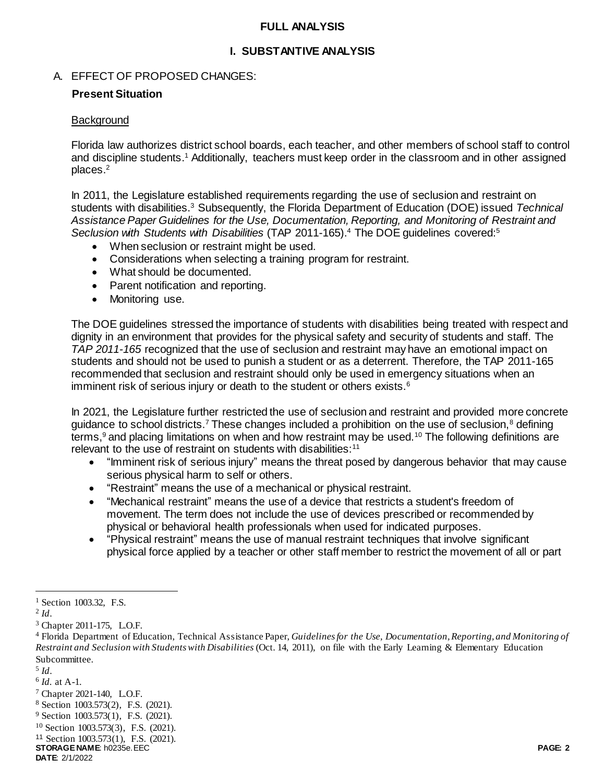### **FULL ANALYSIS**

## **I. SUBSTANTIVE ANALYSIS**

### A. EFFECT OF PROPOSED CHANGES:

#### **Present Situation**

#### **Background**

Florida law authorizes district school boards, each teacher, and other members of school staff to control and discipline students. <sup>1</sup> Additionally, teachers must keep order in the classroom and in other assigned places.<sup>2</sup>

In 2011, the Legislature established requirements regarding the use of seclusion and restraint on students with disabilities.<sup>3</sup> Subsequently, the Florida Department of Education (DOE) issued *Technical Assistance Paper Guidelines for the Use, Documentation, Reporting, and Monitoring of Restraint and Seclusion with Students with Disabilities* (TAP 2011-165). <sup>4</sup> The DOE guidelines covered:<sup>5</sup>

- When seclusion or restraint might be used.
- Considerations when selecting a training program for restraint.
- What should be documented.
- Parent notification and reporting.
- Monitoring use.

The DOE guidelines stressed the importance of students with disabilities being treated with respect and dignity in an environment that provides for the physical safety and security of students and staff. The *TAP 2011-165* recognized that the use of seclusion and restraint may have an emotional impact on students and should not be used to punish a student or as a deterrent. Therefore, the TAP 2011-165 recommended that seclusion and restraint should only be used in emergency situations when an imminent risk of serious injury or death to the student or others exists.<sup>6</sup>

In 2021, the Legislature further restricted the use of seclusion and restraint and provided more concrete guidance to school districts.<sup>7</sup> These changes included a prohibition on the use of seclusion,<sup>8</sup> defining terms,<sup>9</sup> and placing limitations on when and how restraint may be used.<sup>10</sup> The following definitions are relevant to the use of restraint on students with disabilities:<sup>11</sup>

- "Imminent risk of serious injury" means the threat posed by dangerous behavior that may cause serious physical harm to self or others.
- "Restraint" means the use of a mechanical or physical restraint.
- "Mechanical restraint" means the use of a device that restricts a student's freedom of movement. The term does not include the use of devices prescribed or recommended by physical or behavioral health professionals when used for indicated purposes.
- "Physical restraint" means the use of manual restraint techniques that involve significant physical force applied by a teacher or other staff member to restrict the movement of all or part

 $\overline{a}$ 

5 *Id*.

<sup>7</sup> Chapter 2021-140, L.O.F.

<sup>9</sup> Section 1003.573(1), F.S. (2021).

<sup>&</sup>lt;sup>1</sup> Section 1003.32, F.S.

<sup>2</sup> *Id*.

<sup>&</sup>lt;sup>3</sup> Chapter 2011-175, L.O.F.

<sup>4</sup> Florida Department of Education, Technical Assistance Paper, *Guidelines for the Use, Documentation, Reporting, and Monitoring of Restraint and Seclusion with Students with Disabilities* (Oct. 14, 2011), on file with the Early Learning & Elementary Education Subcommittee.

<sup>6</sup> *Id.* at A-1.

<sup>8</sup> Section 1003.573(2), F.S. (2021).

<sup>10</sup> Section 1003.573(3), F.S. (2021).

**STORAGE NAME**: h0235e.EEC **PAGE: 2** <sup>11</sup> Section 1003.573(1), F.S. (2021).

**DATE**: 2/1/2022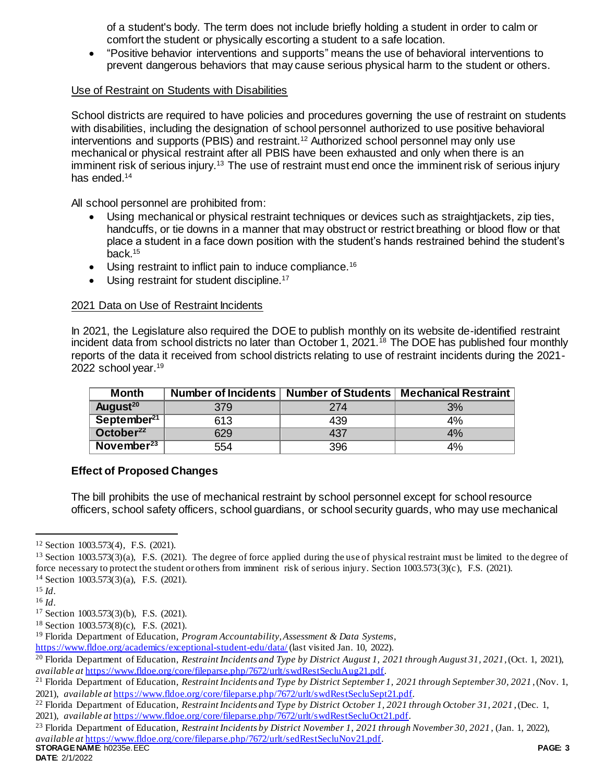of a student's body. The term does not include briefly holding a student in order to calm or comfort the student or physically escorting a student to a safe location.

 "Positive behavior interventions and supports" means the use of behavioral interventions to prevent dangerous behaviors that may cause serious physical harm to the student or others.

## Use of Restraint on Students with Disabilities

School districts are required to have policies and procedures governing the use of restraint on students with disabilities, including the designation of school personnel authorized to use positive behavioral interventions and supports (PBIS) and restraint.<sup>12</sup> Authorized school personnel may only use mechanical or physical restraint after all PBIS have been exhausted and only when there is an imminent risk of serious injury.<sup>13</sup> The use of restraint must end once the imminent risk of serious injury has ended.<sup>14</sup>

All school personnel are prohibited from:

- Using mechanical or physical restraint techniques or devices such as straightjackets, zip ties, handcuffs, or tie downs in a manner that may obstruct or restrict breathing or blood flow or that place a student in a face down position with the student's hands restrained behind the student's back.<sup>15</sup>
- Using restraint to inflict pain to induce compliance.<sup>16</sup>
- Using restraint for student discipline.<sup>17</sup>

# 2021 Data on Use of Restraint Incidents

In 2021, the Legislature also required the DOE to publish monthly on its website de-identified restraint incident data from school districts no later than October 1, 2021.<sup>18</sup> The DOE has published four monthly reports of the data it received from school districts relating to use of restraint incidents during the 2021- 2022 school year.<sup>19</sup>

| Month                   |     | Number of Incidents   Number of Students | <b>Mechanical Restraint</b> |
|-------------------------|-----|------------------------------------------|-----------------------------|
| August <sup>20</sup>    | 379 | 274                                      | 3%                          |
| September <sup>21</sup> | 613 | 439                                      | 4%                          |
| October <sup>22</sup>   | 629 | 437                                      | 4%                          |
| November <sup>23</sup>  | 554 | 396                                      | 4%                          |

# **Effect of Proposed Changes**

The bill prohibits the use of mechanical restraint by school personnel except for school resource officers, school safety officers, school guardians, or school security guards, who may use mechanical

 $\overline{a}$ 

<sup>12</sup> Section 1003.573(4), F.S. (2021).

 $13$  Section 1003.573(3)(a), F.S. (2021). The degree of force applied during the use of physical restraint must be limited to the degree of force necessary to protect the student or others from imminent risk of serious injury. Section 1003.573(3)(c), F.S. (2021). <sup>14</sup> Section 1003.573(3)(a), F.S. (2021).

<sup>15</sup> *Id*.

<sup>16</sup> *Id*.

<sup>17</sup> Section 1003.573(3)(b), F.S. (2021).

<sup>18</sup> Section 1003.573(8)(c), F.S. (2021).

<sup>19</sup> Florida Department of Education, *Program Accountability, Assessment & Data Systems*,

<https://www.fldoe.org/academics/exceptional-student-edu/data/> (last visited Jan. 10, 2022).

<sup>20</sup> Florida Department of Education, *Restraint Incidents and Type by District August 1, 2021 through August 31, 2021*, (Oct. 1, 2021), *available at* [https://www.fldoe.org/core/fileparse.php/7672/urlt/swdRestSecluAug21.pdf.](https://www.fldoe.org/core/fileparse.php/7672/urlt/swdRestSecluAug21.pdf)

<sup>21</sup> Florida Department of Education, *Restraint Incidents and Type by District September 1, 2021 through September 30, 2021* , (Nov. 1, 2021), *available at* [https://www.fldoe.org/core/fileparse.php/7672/urlt/swdRestSecluSept21.pdf.](https://www.fldoe.org/core/fileparse.php/7672/urlt/swdRestSecluSept21.pdf) 

<sup>22</sup> Florida Department of Education, *Restraint Incidents and Type by District October 1, 2021 through October 31, 2021* , (Dec. 1, 2021), *available at* [https://www.fldoe.org/core/fileparse.php/7672/urlt/swdRestSecluOct21.pdf.](https://www.fldoe.org/core/fileparse.php/7672/urlt/swdRestSecluOct21.pdf) 

**STORAGE NAME:** h0235e.EEC **PAGE: 3** <sup>23</sup> Florida Department of Education, *Restraint Incidents by District November 1, 2021 through November 30, 2021* , (Jan. 1, 2022), *available at* [https://www.fldoe.org/core/fileparse.php/7672/urlt/sedRestSecluNov21.pdf.](https://www.fldoe.org/core/fileparse.php/7672/urlt/sedRestSecluNov21.pdf)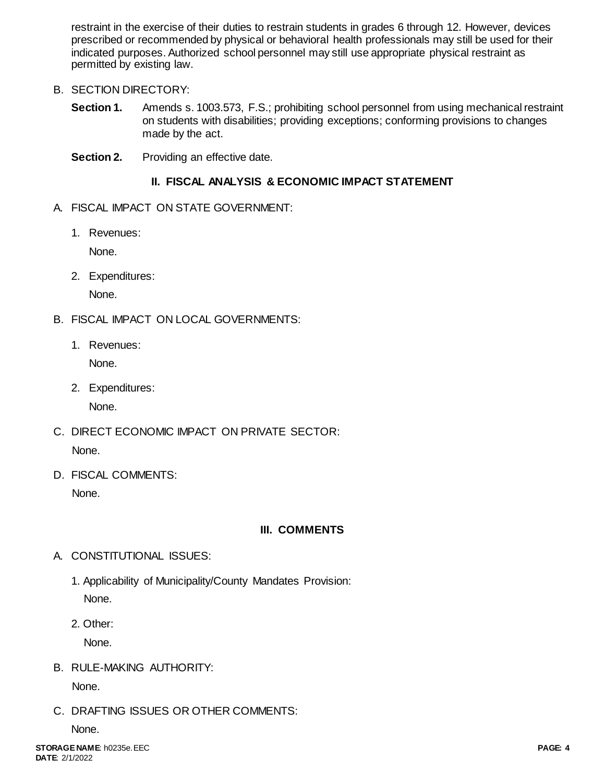restraint in the exercise of their duties to restrain students in grades 6 through 12. However, devices prescribed or recommended by physical or behavioral health professionals may still be used for their indicated purposes. Authorized school personnel may still use appropriate physical restraint as permitted by existing law.

# B. SECTION DIRECTORY:

- **Section 1.** Amends s. 1003.573, F.S.; prohibiting school personnel from using mechanical restraint on students with disabilities; providing exceptions; conforming provisions to changes made by the act.
- **Section 2.** Providing an effective date.

# **II. FISCAL ANALYSIS & ECONOMIC IMPACT STATEMENT**

- A. FISCAL IMPACT ON STATE GOVERNMENT:
	- 1. Revenues:

None.

2. Expenditures:

None.

- B. FISCAL IMPACT ON LOCAL GOVERNMENTS:
	- 1. Revenues:

None.

2. Expenditures:

None.

- C. DIRECT ECONOMIC IMPACT ON PRIVATE SECTOR: None.
- D. FISCAL COMMENTS:

None.

# **III. COMMENTS**

- A. CONSTITUTIONAL ISSUES:
	- 1. Applicability of Municipality/County Mandates Provision: None.
	- 2. Other:

None.

B. RULE-MAKING AUTHORITY:

None.

C. DRAFTING ISSUES OR OTHER COMMENTS:

None.